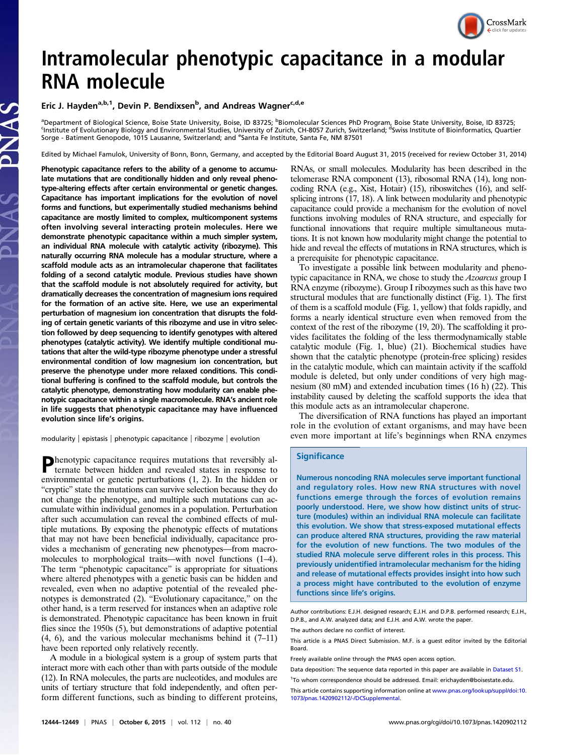

# Intramolecular phenotypic capacitance in a modular RNA molecule

## Eric J. Hayden<sup>a,b,1</sup>, Devin P. Bendixsen<sup>b</sup>, and Andreas Wagner<sup>c,d,e</sup>

ªDepartment of Biological Science, Boise State University, Boise, ID 83725; <sup>b</sup>Biomolecular Sciences PhD Program, Boise State University, Boise, ID 83725;<br><sup>c</sup>Institute of Evolutionary Biology and Environmental Studies, Uni Sorge - Batiment Genopode, 1015 Lausanne, Switzerland; and <sup>e</sup>Santa Fe Institute, Santa Fe, NM 87501

Edited by Michael Famulok, University of Bonn, Bonn, Germany, and accepted by the Editorial Board August 31, 2015 (received for review October 31, 2014)

Phenotypic capacitance refers to the ability of a genome to accumulate mutations that are conditionally hidden and only reveal phenotype-altering effects after certain environmental or genetic changes. Capacitance has important implications for the evolution of novel forms and functions, but experimentally studied mechanisms behind capacitance are mostly limited to complex, multicomponent systems often involving several interacting protein molecules. Here we demonstrate phenotypic capacitance within a much simpler system, an individual RNA molecule with catalytic activity (ribozyme). This naturally occurring RNA molecule has a modular structure, where a scaffold module acts as an intramolecular chaperone that facilitates folding of a second catalytic module. Previous studies have shown that the scaffold module is not absolutely required for activity, but dramatically decreases the concentration of magnesium ions required for the formation of an active site. Here, we use an experimental perturbation of magnesium ion concentration that disrupts the folding of certain genetic variants of this ribozyme and use in vitro selection followed by deep sequencing to identify genotypes with altered phenotypes (catalytic activity). We identify multiple conditional mutations that alter the wild-type ribozyme phenotype under a stressful environmental condition of low magnesium ion concentration, but preserve the phenotype under more relaxed conditions. This conditional buffering is confined to the scaffold module, but controls the catalytic phenotype, demonstrating how modularity can enable phenotypic capacitance within a single macromolecule. RNA's ancient role in life suggests that phenotypic capacitance may have influenced evolution since life's origins.

modularity | epistasis | phenotypic capacitance | ribozyme | evolution

Phenotypic capacitance requires mutations that reversibly alternate between hidden and revealed states in response to environmental or genetic perturbations (1, 2). In the hidden or "cryptic" state the mutations can survive selection because they do not change the phenotype, and multiple such mutations can accumulate within individual genomes in a population. Perturbation after such accumulation can reveal the combined effects of multiple mutations. By exposing the phenotypic effects of mutations that may not have been beneficial individually, capacitance provides a mechanism of generating new phenotypes—from macromolecules to morphological traits—with novel functions (1–4). The term "phenotypic capacitance" is appropriate for situations where altered phenotypes with a genetic basis can be hidden and revealed, even when no adaptive potential of the revealed phenotypes is demonstrated (2). "Evolutionary capacitance," on the other hand, is a term reserved for instances when an adaptive role is demonstrated. Phenotypic capacitance has been known in fruit flies since the 1950s (5), but demonstrations of adaptive potential (4, 6), and the various molecular mechanisms behind it (7–11) have been reported only relatively recently.

A module in a biological system is a group of system parts that interact more with each other than with parts outside of the module (12). In RNA molecules, the parts are nucleotides, and modules are units of tertiary structure that fold independently, and often perform different functions, such as binding to different proteins,

RNAs, or small molecules. Modularity has been described in the telomerase RNA component (13), ribosomal RNA (14), long noncoding RNA (e.g., Xist, Hotair) (15), riboswitches (16), and selfsplicing introns (17, 18). A link between modularity and phenotypic capacitance could provide a mechanism for the evolution of novel functions involving modules of RNA structure, and especially for functional innovations that require multiple simultaneous mutations. It is not known how modularity might change the potential to hide and reveal the effects of mutations in RNA structures, which is a prerequisite for phenotypic capacitance.

To investigate a possible link between modularity and phenotypic capacitance in RNA, we chose to study the Azoarcus group I RNA enzyme (ribozyme). Group I ribozymes such as this have two structural modules that are functionally distinct (Fig. 1). The first of them is a scaffold module (Fig. 1, yellow) that folds rapidly, and forms a nearly identical structure even when removed from the context of the rest of the ribozyme (19, 20). The scaffolding it provides facilitates the folding of the less thermodynamically stable catalytic module (Fig. 1, blue) (21). Biochemical studies have shown that the catalytic phenotype (protein-free splicing) resides in the catalytic module, which can maintain activity if the scaffold module is deleted, but only under conditions of very high magnesium (80 mM) and extended incubation times (16 h) (22). This instability caused by deleting the scaffold supports the idea that this module acts as an intramolecular chaperone.

The diversification of RNA functions has played an important role in the evolution of extant organisms, and may have been even more important at life's beginnings when RNA enzymes

#### **Significance**

Numerous noncoding RNA molecules serve important functional and regulatory roles. How new RNA structures with novel functions emerge through the forces of evolution remains poorly understood. Here, we show how distinct units of structure (modules) within an individual RNA molecule can facilitate this evolution. We show that stress-exposed mutational effects can produce altered RNA structures, providing the raw material for the evolution of new functions. The two modules of the studied RNA molecule serve different roles in this process. This previously unidentified intramolecular mechanism for the hiding and release of mutational effects provides insight into how such a process might have contributed to the evolution of enzyme functions since life's origins.

The authors declare no conflict of interest.

This article is a PNAS Direct Submission. M.F. is a guest editor invited by the Editorial Board.

Freely available online through the PNAS open access option.

This article contains supporting information online at [www.pnas.org/lookup/suppl/doi:10.](http://www.pnas.org/lookup/suppl/doi:10.1073/pnas.1420902112/-/DCSupplemental) [1073/pnas.1420902112/-/DCSupplemental.](http://www.pnas.org/lookup/suppl/doi:10.1073/pnas.1420902112/-/DCSupplemental)

Author contributions: E.J.H. designed research; E.J.H. and D.P.B. performed research; E.J.H., D.P.B., and A.W. analyzed data; and E.J.H. and A.W. wrote the paper.

Data deposition: The sequence data reported in this paper are available in [Dataset S1.](http://www.pnas.org/lookup/suppl/doi:10.1073/pnas.1420902112/-/DCSupplemental/pnas.1420902112.sd01.zip) <sup>1</sup>To whom correspondence should be addressed. Email: [erichayden@boisestate.edu.](mailto:erichayden@boisestate.edu)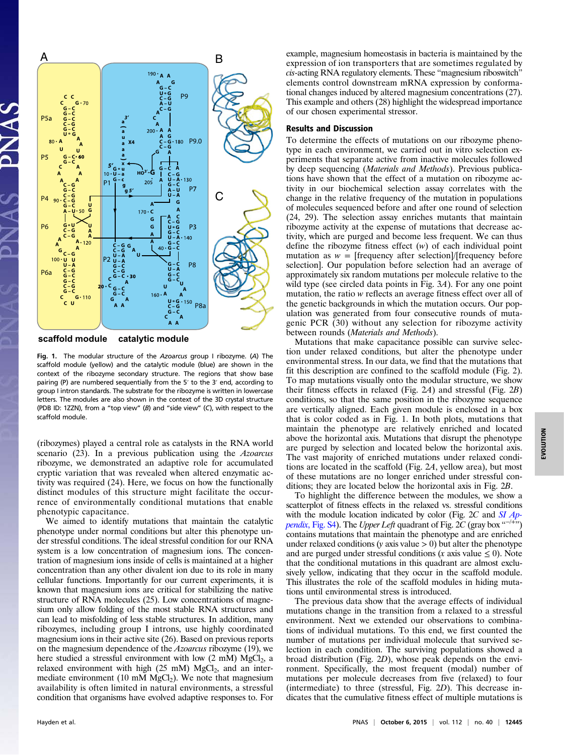

**scaffold module catalytic module**

Fig. 1. The modular structure of the Azoarcus group I ribozyme. (A) The scaffold module (yellow) and the catalytic module (blue) are shown in the context of the ribozyme secondary structure. The regions that show base pairing (P) are numbered sequentially from the 5′ to the 3′ end, according to group I intron standards. The substrate for the ribozyme is written in lowercase letters. The modules are also shown in the context of the 3D crystal structure (PDB ID: 1ZZN), from a "top view" (B) and "side view" (C), with respect to the scaffold module.

(ribozymes) played a central role as catalysts in the RNA world scenario (23). In a previous publication using the Azoarcus ribozyme, we demonstrated an adaptive role for accumulated cryptic variation that was revealed when altered enzymatic activity was required (24). Here, we focus on how the functionally distinct modules of this structure might facilitate the occurrence of environmentally conditional mutations that enable phenotypic capacitance.

We aimed to identify mutations that maintain the catalytic phenotype under normal conditions but alter this phenotype under stressful conditions. The ideal stressful condition for our RNA system is a low concentration of magnesium ions. The concentration of magnesium ions inside of cells is maintained at a higher concentration than any other divalent ion due to its role in many cellular functions. Importantly for our current experiments, it is known that magnesium ions are critical for stabilizing the native structure of RNA molecules (25). Low concentrations of magnesium only allow folding of the most stable RNA structures and can lead to misfolding of less stable structures. In addition, many ribozymes, including group I introns, use highly coordinated magnesium ions in their active site (26). Based on previous reports on the magnesium dependence of the Azoarcus ribozyme (19), we here studied a stressful environment with low  $(2 \text{ mM}) \text{ MgCl}_2$ , a relaxed environment with high ( $25 \text{ mM}$ ) MgCl<sub>2</sub>, and an intermediate environment (10 mM  $MgCl<sub>2</sub>$ ). We note that magnesium availability is often limited in natural environments, a stressful condition that organisms have evolved adaptive responses to. For

example, magnesium homeostasis in bacteria is maintained by the expression of ion transporters that are sometimes regulated by cis-acting RNA regulatory elements. These "magnesium riboswitch" elements control downstream mRNA expression by conformational changes induced by altered magnesium concentrations (27). This example and others (28) highlight the widespread importance of our chosen experimental stressor.

### Results and Discussion

To determine the effects of mutations on our ribozyme phenotype in each environment, we carried out in vitro selection experiments that separate active from inactive molecules followed by deep sequencing (Materials and Methods). Previous publications have shown that the effect of a mutation on ribozyme activity in our biochemical selection assay correlates with the change in the relative frequency of the mutation in populations of molecules sequenced before and after one round of selection (24, 29). The selection assay enriches mutants that maintain ribozyme activity at the expense of mutations that decrease activity, which are purged and become less frequent. We can thus define the ribozyme fitness effect  $(w)$  of each individual point mutation as  $w =$  [frequency after selection]/[frequency before selection]. Our population before selection had an average of approximately six random mutations per molecule relative to the wild type (see circled data points in Fig. 3A). For any one point mutation, the ratio w reflects an average fitness effect over all of the genetic backgrounds in which the mutation occurs. Our population was generated from four consecutive rounds of mutagenic PCR (30) without any selection for ribozyme activity between rounds (Materials and Methods).

Mutations that make capacitance possible can survive selection under relaxed conditions, but alter the phenotype under environmental stress. In our data, we find that the mutations that fit this description are confined to the scaffold module (Fig. 2). To map mutations visually onto the modular structure, we show their fitness effects in relaxed (Fig. 2A) and stressful (Fig. 2B) conditions, so that the same position in the ribozyme sequence are vertically aligned. Each given module is enclosed in a box that is color coded as in Fig. 1. In both plots, mutations that maintain the phenotype are relatively enriched and located above the horizontal axis. Mutations that disrupt the phenotype are purged by selection and located below the horizontal axis. The vast majority of enriched mutations under relaxed conditions are located in the scaffold (Fig. 2A, yellow area), but most of these mutations are no longer enriched under stressful conditions; they are located below the horizontal axis in Fig. 2B.

To highlight the difference between the modules, we show a scatterplot of fitness effects in the relaxed vs. stressful conditions with the module location indicated by color (Fig. 2C and  $SI$  Ap*pendix*[, Fig. S4\)](http://www.pnas.org/lookup/suppl/doi:10.1073/pnas.1420902112/-/DCSupplemental/pnas.1420902112.sapp.pdf). The Upper Left quadrant of Fig. 2C (gray box "<sup>-/+</sup>") contains mutations that maintain the phenotype and are enriched under relaxed conditions (y axis value  $> 0$ ) but alter the phenotype and are purged under stressful conditions (x axis value  $\leq$  0). Note that the conditional mutations in this quadrant are almost exclusively yellow, indicating that they occur in the scaffold module. This illustrates the role of the scaffold modules in hiding mutations until environmental stress is introduced.

The previous data show that the average effects of individual mutations change in the transition from a relaxed to a stressful environment. Next we extended our observations to combinations of individual mutations. To this end, we first counted the number of mutations per individual molecule that survived selection in each condition. The surviving populations showed a broad distribution (Fig. 2D), whose peak depends on the environment. Specifically, the most frequent (modal) number of mutations per molecule decreases from five (relaxed) to four (intermediate) to three (stressful, Fig. 2D). This decrease indicates that the cumulative fitness effect of multiple mutations is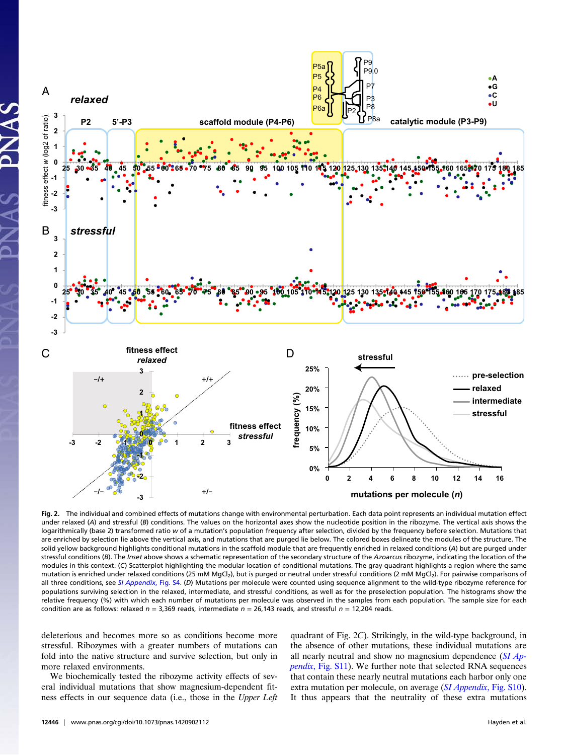

Fig. 2. The individual and combined effects of mutations change with environmental perturbation. Each data point represents an individual mutation effect under relaxed (A) and stressful (B) conditions. The values on the horizontal axes show the nucleotide position in the ribozyme. The vertical axis shows the logarithmically (base 2) transformed ratio w of a mutation's population frequency after selection, divided by the frequency before selection. Mutations that are enriched by selection lie above the vertical axis, and mutations that are purged lie below. The colored boxes delineate the modules of the structure. The solid yellow background highlights conditional mutations in the scaffold module that are frequently enriched in relaxed conditions (A) but are purged under stressful conditions (B). The Inset above shows a schematic representation of the secondary structure of the Azoarcus ribozyme, indicating the location of the modules in this context. (C) Scatterplot highlighting the modular location of conditional mutations. The gray quadrant highlights a region where the same mutation is enriched under relaxed conditions (25 mM MgCl<sub>2</sub>), but is purged or neutral under stressful conditions (2 mM MgCl<sub>2</sub>). For pairwise comparisons of all three conditions, see [SI Appendix](http://www.pnas.org/lookup/suppl/doi:10.1073/pnas.1420902112/-/DCSupplemental/pnas.1420902112.sapp.pdf), Fig. S4. (D) Mutations per molecule were counted using sequence alignment to the wild-type ribozyme reference for populations surviving selection in the relaxed, intermediate, and stressful conditions, as well as for the preselection population. The histograms show the relative frequency (%) with which each number of mutations per molecule was observed in the samples from each population. The sample size for each condition are as follows: relaxed  $n = 3,369$  reads, intermediate  $n = 26,143$  reads, and stressful  $n = 12,204$  reads.

deleterious and becomes more so as conditions become more stressful. Ribozymes with a greater numbers of mutations can fold into the native structure and survive selection, but only in more relaxed environments.

We biochemically tested the ribozyme activity effects of several individual mutations that show magnesium-dependent fitness effects in our sequence data (i.e., those in the Upper Left quadrant of Fig. 2C). Strikingly, in the wild-type background, in the absence of other mutations, these individual mutations are all nearly neutral and show no magnesium dependence  $(SIAp-)$ pendix[, Fig. S11](http://www.pnas.org/lookup/suppl/doi:10.1073/pnas.1420902112/-/DCSupplemental/pnas.1420902112.sapp.pdf)). We further note that selected RNA sequences that contain these nearly neutral mutations each harbor only one extra mutation per molecule, on average (SI Appendix[, Fig. S10\)](http://www.pnas.org/lookup/suppl/doi:10.1073/pnas.1420902112/-/DCSupplemental/pnas.1420902112.sapp.pdf). It thus appears that the neutrality of these extra mutations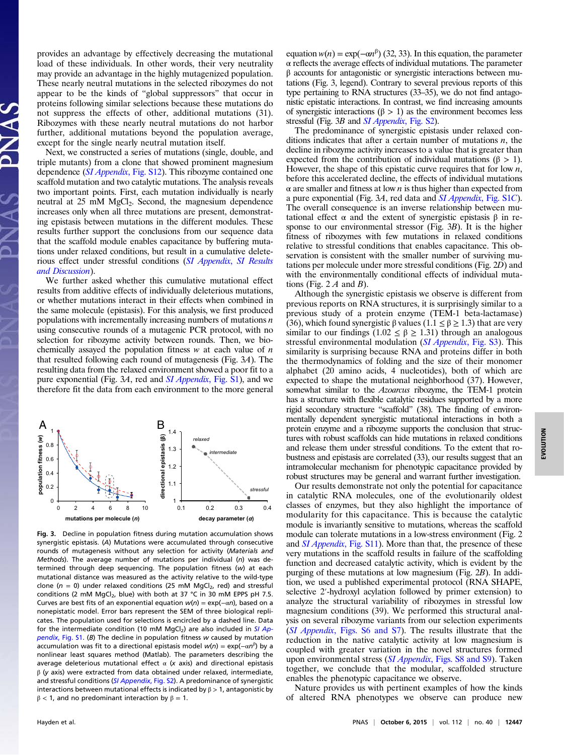provides an advantage by effectively decreasing the mutational load of these individuals. In other words, their very neutrality may provide an advantage in the highly mutagenized population. These nearly neutral mutations in the selected ribozymes do not appear to be the kinds of "global suppressors" that occur in proteins following similar selections because these mutations do not suppress the effects of other, additional mutations (31). Ribozymes with these nearly neutral mutations do not harbor further, additional mutations beyond the population average, except for the single nearly neutral mutation itself.

Next, we constructed a series of mutations (single, double, and triple mutants) from a clone that showed prominent magnesium dependence (*SI Appendix*[, Fig. S12\)](http://www.pnas.org/lookup/suppl/doi:10.1073/pnas.1420902112/-/DCSupplemental/pnas.1420902112.sapp.pdf). This ribozyme contained one scaffold mutation and two catalytic mutations. The analysis reveals two important points. First, each mutation individually is nearly neutral at 25 mM MgCl<sub>2</sub>. Second, the magnesium dependence increases only when all three mutations are present, demonstrating epistasis between mutations in the different modules. These results further support the conclusions from our sequence data that the scaffold module enables capacitance by buffering mutations under relaxed conditions, but result in a cumulative deleterious effect under stressful conditions ([SI Appendix](http://www.pnas.org/lookup/suppl/doi:10.1073/pnas.1420902112/-/DCSupplemental/pnas.1420902112.sapp.pdf), SI Results [and Discussion](http://www.pnas.org/lookup/suppl/doi:10.1073/pnas.1420902112/-/DCSupplemental/pnas.1420902112.sapp.pdf)).

We further asked whether this cumulative mutational effect results from additive effects of individually deleterious mutations, or whether mutations interact in their effects when combined in the same molecule (epistasis). For this analysis, we first produced populations with incrementally increasing numbers of mutations  $n$ using consecutive rounds of a mutagenic PCR protocol, with no selection for ribozyme activity between rounds. Then, we biochemically assayed the population fitness  $w$  at each value of  $n$ that resulted following each round of mutagenesis (Fig. 3A). The resulting data from the relaxed environment showed a poor fit to a pure exponential (Fig. 3A, red and *[SI Appendix](http://www.pnas.org/lookup/suppl/doi:10.1073/pnas.1420902112/-/DCSupplemental/pnas.1420902112.sapp.pdf)*, Fig. S1), and we therefore fit the data from each environment to the more general



Fig. 3. Decline in population fitness during mutation accumulation shows synergistic epistasis. (A) Mutations were accumulated through consecutive rounds of mutagenesis without any selection for activity (Materials and Methods). The average number of mutations per individual  $(n)$  was determined through deep sequencing. The population fitness (w) at each mutational distance was measured as the activity relative to the wild-type clone ( $n = 0$ ) under relaxed conditions (25 mM MgCl<sub>2</sub>, red) and stressful conditions (2 mM MgCl<sub>2</sub>, blue) with both at 37 °C in 30 mM EPPS pH 7.5. Curves are best fits of an exponential equation  $w(n) = \exp(-\alpha n)$ , based on a nonepistatic model. Error bars represent the SEM of three biological replicates. The population used for selections is encircled by a dashed line. Data for the intermediate condition (10 mM MgCl<sub>2</sub>) are also included in  $SI$  Ap-pendix[, Fig. S1.](http://www.pnas.org/lookup/suppl/doi:10.1073/pnas.1420902112/-/DCSupplemental/pnas.1420902112.sapp.pdf) (B) The decline in population fitness w caused by mutation accumulation was fit to a directional epistasis model  $w(n) = \exp(-\alpha n^{\beta})$  by a nonlinear least squares method (Matlab). The parameters describing the average deleterious mutational effect  $\alpha$  (x axis) and directional epistasis  $\beta$  (y axis) were extracted from data obtained under relaxed, intermediate, and stressful conditions ([SI Appendix](http://www.pnas.org/lookup/suppl/doi:10.1073/pnas.1420902112/-/DCSupplemental/pnas.1420902112.sapp.pdf), Fig. S2). A predominance of synergistic interactions between mutational effects is indicated by  $\beta$  > 1, antagonistic by  $β < 1$ , and no predominant interaction by  $β = 1$ .

equation  $w(n) = \exp(-\alpha n^{\beta})$  (32, 33). In this equation, the parameter  $\alpha$  reflects the average effects of individual mutations. The parameter  $β$  accounts for antagonistic or synergistic interactions between mutations (Fig. 3, legend). Contrary to several previous reports of this type pertaining to RNA structures (33–35), we do not find antagonistic epistatic interactions. In contrast, we find increasing amounts of synergistic interactions ( $\beta > 1$ ) as the environment becomes less stressful (Fig. 3B and *[SI Appendix](http://www.pnas.org/lookup/suppl/doi:10.1073/pnas.1420902112/-/DCSupplemental/pnas.1420902112.sapp.pdf)*, Fig. S2).

The predominance of synergistic epistasis under relaxed conditions indicates that after a certain number of mutations  $n$ , the decline in ribozyme activity increases to a value that is greater than expected from the contribution of individual mutations ( $\beta > 1$ ). However, the shape of this epistatic curve requires that for low  $n$ , before this accelerated decline, the effects of individual mutations  $\alpha$  are smaller and fitness at low *n* is thus higher than expected from a pure exponential (Fig. 3A, red data and [SI Appendix](http://www.pnas.org/lookup/suppl/doi:10.1073/pnas.1420902112/-/DCSupplemental/pnas.1420902112.sapp.pdf), Fig. S1C). The overall consequence is an inverse relationship between mutational effect α and the extent of synergistic epistasis β in response to our environmental stressor (Fig. 3B). It is the higher fitness of ribozymes with few mutations in relaxed conditions relative to stressful conditions that enables capacitance. This observation is consistent with the smaller number of surviving mutations per molecule under more stressful conditions (Fig. 2D) and with the environmentally conditional effects of individual mutations (Fig.  $2A$  and B).

Although the synergistic epistasis we observe is different from previous reports on RNA structures, it is surprisingly similar to a previous study of a protein enzyme (TEM-1 beta-lactamase) (36), which found synergistic  $\beta$  values (1.1  $\leq \beta \geq 1.3$ ) that are very similar to our findings  $(1.02 \le \beta \ge 1.31)$  through an analogous stressful environmental modulation ([SI Appendix](http://www.pnas.org/lookup/suppl/doi:10.1073/pnas.1420902112/-/DCSupplemental/pnas.1420902112.sapp.pdf), Fig. S3). This similarity is surprising because RNA and proteins differ in both the thermodynamics of folding and the size of their monomer alphabet (20 amino acids, 4 nucleotides), both of which are expected to shape the mutational neighborhood (37). However, somewhat similar to the *Azoarcus* ribozyme, the TEM-1 protein has a structure with flexible catalytic residues supported by a more rigid secondary structure "scaffold" (38). The finding of environmentally dependent synergistic mutational interactions in both a protein enzyme and a ribozyme supports the conclusion that structures with robust scaffolds can hide mutations in relaxed conditions and release them under stressful conditions. To the extent that robustness and epistasis are correlated (33), our results suggest that an intramolecular mechanism for phenotypic capacitance provided by robust structures may be general and warrant further investigation.

Our results demonstrate not only the potential for capacitance in catalytic RNA molecules, one of the evolutionarily oldest classes of enzymes, but they also highlight the importance of modularity for this capacitance. This is because the catalytic module is invariantly sensitive to mutations, whereas the scaffold module can tolerate mutations in a low-stress environment (Fig. 2 and SI Appendix[, Fig. S11\)](http://www.pnas.org/lookup/suppl/doi:10.1073/pnas.1420902112/-/DCSupplemental/pnas.1420902112.sapp.pdf). More than that, the presence of these very mutations in the scaffold results in failure of the scaffolding function and decreased catalytic activity, which is evident by the purging of these mutations at low magnesium (Fig. 2B). In addition, we used a published experimental protocol (RNA SHAPE, selective 2′-hydroxyl acylation followed by primer extension) to analyze the structural variability of ribozymes in stressful low magnesium conditions (39). We performed this structural analysis on several ribozyme variants from our selection experiments (SI Appendix[, Figs. S6 and S7\)](http://www.pnas.org/lookup/suppl/doi:10.1073/pnas.1420902112/-/DCSupplemental/pnas.1420902112.sapp.pdf). The results illustrate that the reduction in the native catalytic activity at low magnesium is coupled with greater variation in the novel structures formed upon environmental stress (SI Appendix[, Figs. S8 and S9\)](http://www.pnas.org/lookup/suppl/doi:10.1073/pnas.1420902112/-/DCSupplemental/pnas.1420902112.sapp.pdf). Taken together, we conclude that the modular, scaffolded structure enables the phenotypic capacitance we observe.

Nature provides us with pertinent examples of how the kinds of altered RNA phenotypes we observe can produce new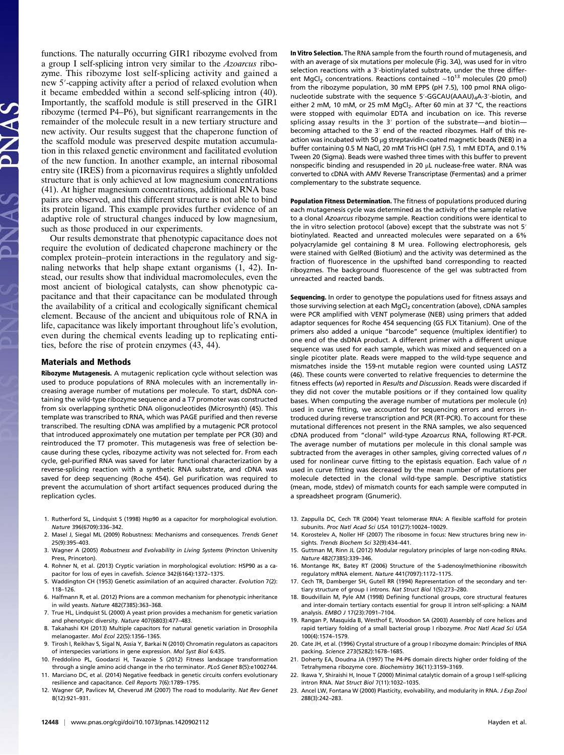functions. The naturally occurring GIR1 ribozyme evolved from a group I self-splicing intron very similar to the Azoarcus ribozyme. This ribozyme lost self-splicing activity and gained a new 5′-capping activity after a period of relaxed evolution when it became embedded within a second self-splicing intron (40). Importantly, the scaffold module is still preserved in the GIR1 ribozyme (termed P4–P6), but significant rearrangements in the remainder of the molecule result in a new tertiary structure and new activity. Our results suggest that the chaperone function of the scaffold module was preserved despite mutation accumulation in this relaxed genetic environment and facilitated evolution of the new function. In another example, an internal ribosomal entry site (IRES) from a picornavirus requires a slightly unfolded structure that is only achieved at low magnesium concentrations (41). At higher magnesium concentrations, additional RNA base pairs are observed, and this different structure is not able to bind its protein ligand. This example provides further evidence of an adaptive role of structural changes induced by low magnesium, such as those produced in our experiments.

Our results demonstrate that phenotypic capacitance does not require the evolution of dedicated chaperone machinery or the complex protein–protein interactions in the regulatory and signaling networks that help shape extant organisms (1, 42). Instead, our results show that individual macromolecules, even the most ancient of biological catalysts, can show phenotypic capacitance and that their capacitance can be modulated through the availability of a critical and ecologically significant chemical element. Because of the ancient and ubiquitous role of RNA in life, capacitance was likely important throughout life's evolution, even during the chemical events leading up to replicating entities, before the rise of protein enzymes (43, 44).

#### Materials and Methods

Ribozyme Mutagenesis. A mutagenic replication cycle without selection was used to produce populations of RNA molecules with an incrementally increasing average number of mutations per molecule. To start, dsDNA containing the wild-type ribozyme sequence and a T7 promoter was constructed from six overlapping synthetic DNA oligonucleotides (Microsynth) (45). This template was transcribed to RNA, which was PAGE purified and then reverse transcribed. The resulting cDNA was amplified by a mutagenic PCR protocol that introduced approximately one mutation per template per PCR (30) and reintroduced the T7 promoter. This mutagenesis was free of selection because during these cycles, ribozyme activity was not selected for. From each cycle, gel-purified RNA was saved for later functional characterization by a reverse-splicing reaction with a synthetic RNA substrate, and cDNA was saved for deep sequencing (Roche 454). Gel purification was required to prevent the accumulation of short artifact sequences produced during the replication cycles.

- 1. Rutherford SL, Lindquist S (1998) Hsp90 as a capacitor for morphological evolution. Nature 396(6709):336–342.
- 2. Masel J, Siegal ML (2009) Robustness: Mechanisms and consequences. Trends Genet 25(9):395–403.
- 3. Wagner A (2005) Robustness and Evolvability in Living Systems (Princton University Press, Princeton).
- 4. Rohner N, et al. (2013) Cryptic variation in morphological evolution: HSP90 as a capacitor for loss of eyes in cavefish. Science 342(6164):1372–1375.
- 5. Waddington CH (1953) Genetic assimilation of an acquired character. Evolution 7(2): 118–126.
- 6. Halfmann R, et al. (2012) Prions are a common mechanism for phenotypic inheritance in wild yeasts. Nature 482(7385):363–368.
- 7. True HL, Lindquist SL (2000) A yeast prion provides a mechanism for genetic variation and phenotypic diversity. Nature 407(6803):477–483.
- 8. Takahashi KH (2013) Multiple capacitors for natural genetic variation in Drosophila melanogaster. Mol Ecol 22(5):1356–1365.
- 9. Tirosh I, Reikhav S, Sigal N, Assia Y, Barkai N (2010) Chromatin regulators as capacitors of interspecies variations in gene expression. Mol Syst Biol 6:435.
- 10. Freddolino PL, Goodarzi H, Tavazoie S (2012) Fitness landscape transformation through a single amino acid change in the rho terminator. PLoS Genet 8(5):e1002744.
- 11. Marciano DC, et al. (2014) Negative feedback in genetic circuits confers evolutionary resilience and capacitance. Cell Reports 7(6):1789–1795.
- 12. Wagner GP, Pavlicev M, Cheverud JM (2007) The road to modularity. Nat Rev Genet 8(12):921–931.

In Vitro Selection. The RNA sample from the fourth round of mutagenesis, and with an average of six mutations per molecule (Fig. 3A), was used for in vitro selection reactions with a 3'-biotinylated substrate, under the three different MgCl<sub>2</sub> concentrations. Reactions contained ~10<sup>13</sup> molecules (20 pmol) from the ribozyme population, 30 mM EPPS (pH 7.5), 100 pmol RNA oligonucleotide substrate with the sequence 5'-GGCAU(AAAU)<sub>4</sub>A-3'-biotin, and either 2 mM, 10 mM, or 25 mM MgCl<sub>2</sub>. After 60 min at 37 °C, the reactions were stopped with equimolar EDTA and incubation on ice. This reverse splicing assay results in the 3′ portion of the substrate—and biotin becoming attached to the 3′ end of the reacted ribozymes. Half of this reaction was incubated with 50 μg streptavidin-coated magnetic beads (NEB) in a buffer containing 0.5 M NaCl, 20 mM Tris·HCl (pH 7.5), 1 mM EDTA, and 0.1% Tween 20 (Sigma). Beads were washed three times with this buffer to prevent nonspecific binding and resuspended in 20 μL nuclease-free water. RNA was converted to cDNA with AMV Reverse Transcriptase (Fermentas) and a primer complementary to the substrate sequence.

Population Fitness Determination. The fitness of populations produced during each mutagenesis cycle was determined as the activity of the sample relative to a clonal Azoarcus ribozyme sample. Reaction conditions were identical to the in vitro selection protocol (above) except that the substrate was not 5′ biotinylated. Reacted and unreacted molecules were separated on a 6% polyacrylamide gel containing 8 M urea. Following electrophoresis, gels were stained with GelRed (Biotium) and the activity was determined as the fraction of fluorescence in the upshifted band corresponding to reacted riboyzmes. The background fluorescence of the gel was subtracted from unreacted and reacted bands.

Sequencing. In order to genotype the populations used for fitness assays and those surviving selection at each MgCl<sub>2</sub> concentration (above), cDNA samples were PCR amplified with VENT polymerase (NEB) using primers that added adaptor sequences for Roche 454 sequencing (GS FLX Titanium). One of the primers also added a unique "barcode" sequence (multiplex identifier) to one end of the dsDNA product. A different primer with a different unique sequence was used for each sample, which was mixed and sequenced on a single picotiter plate. Reads were mapped to the wild-type sequence and mismatches inside the 159-nt mutable region were counted using LASTZ (46). These counts were converted to relative frequencies to determine the fitness effects (w) reported in Results and Discussion. Reads were discarded if they did not cover the mutable positions or if they contained low quality bases. When computing the average number of mutations per molecule (n) used in curve fitting, we accounted for sequencing errors and errors introduced during reverse transcription and PCR (RT-PCR). To account for these mutational differences not present in the RNA samples, we also sequenced cDNA produced from "clonal" wild-type Azoarcus RNA, following RT-PCR. The average number of mutations per molecule in this clonal sample was subtracted from the averages in other samples, giving corrected values of  $n$ used for nonlinear curve fitting to the epistasis equation. Each value of  $n$ used in curve fitting was decreased by the mean number of mutations per molecule detected in the clonal wild-type sample. Descriptive statistics (mean, mode, stdev) of mismatch counts for each sample were computed in a spreadsheet program (Gnumeric).

- 13. Zappulla DC, Cech TR (2004) Yeast telomerase RNA: A flexible scaffold for protein subunits. Proc Natl Acad Sci USA 101(27):10024–10029.
- 14. Korostelev A, Noller HF (2007) The ribosome in focus: New structures bring new insights. Trends Biochem Sci 32(9):434–441.
- 15. Guttman M, Rinn JL (2012) Modular regulatory principles of large non-coding RNAs. Nature 482(7385):339–346.
- 16. Montange RK, Batey RT (2006) Structure of the S-adenosylmethionine riboswitch regulatory mRNA element. Nature 441(7097):1172–1175.
- 17. Cech TR, Damberger SH, Gutell RR (1994) Representation of the secondary and tertiary structure of group I introns. Nat Struct Biol 1(5):273–280.
- 18. Boudvillain M, Pyle AM (1998) Defining functional groups, core structural features and inter-domain tertiary contacts essential for group II intron self-splicing: a NAIM analysis. EMBO J 17(23):7091–7104.
- 19. Rangan P, Masquida B, Westhof E, Woodson SA (2003) Assembly of core helices and rapid tertiary folding of a small bacterial group I ribozyme. Proc Natl Acad Sci USA 100(4):1574–1579.
- 20. Cate JH, et al. (1996) Crystal structure of a group I ribozyme domain: Principles of RNA packing. Science 273(5282):1678–1685.
- 21. Doherty EA, Doudna JA (1997) The P4-P6 domain directs higher order folding of the Tetrahymena ribozyme core. Biochemistry 36(11):3159–3169.
- 22. Ikawa Y, Shiraishi H, Inoue T (2000) Minimal catalytic domain of a group I self-splicing intron RNA. Nat Struct Biol 7(11):1032–1035.
- 23. Ancel LW, Fontana W (2000) Plasticity, evolvability, and modularity in RNA. J Exp Zool 288(3):242–283.